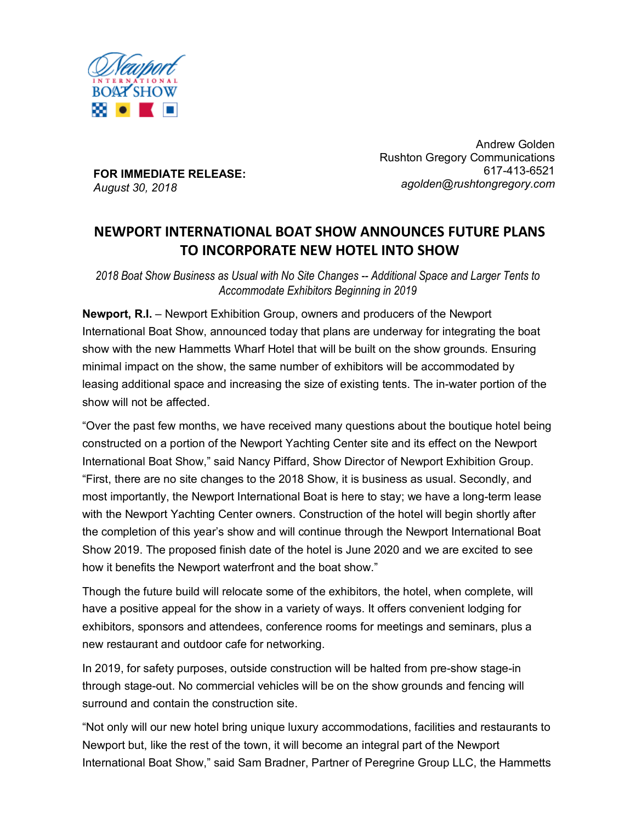

**FOR IMMEDIATE RELEASE:** *August 30, 2018*

Andrew Golden Rushton Gregory Communications 617-413-6521 *agolden@rushtongregory.com*

# **NEWPORT INTERNATIONAL BOAT SHOW ANNOUNCES FUTURE PLANS TO INCORPORATE NEW HOTEL INTO SHOW**

*2018 Boat Show Business as Usual with No Site Changes -- Additional Space and Larger Tents to Accommodate Exhibitors Beginning in 2019*

**Newport, R.I.** – Newport Exhibition Group, owners and producers of the Newport International Boat Show, announced today that plans are underway for integrating the boat show with the new Hammetts Wharf Hotel that will be built on the show grounds. Ensuring minimal impact on the show, the same number of exhibitors will be accommodated by leasing additional space and increasing the size of existing tents. The in-water portion of the show will not be affected.

"Over the past few months, we have received many questions about the boutique hotel being constructed on a portion of the Newport Yachting Center site and its effect on the Newport International Boat Show," said Nancy Piffard, Show Director of Newport Exhibition Group. "First, there are no site changes to the 2018 Show, it is business as usual. Secondly, and most importantly, the Newport International Boat is here to stay; we have a long-term lease with the Newport Yachting Center owners. Construction of the hotel will begin shortly after the completion of this year's show and will continue through the Newport International Boat Show 2019. The proposed finish date of the hotel is June 2020 and we are excited to see how it benefits the Newport waterfront and the boat show."

Though the future build will relocate some of the exhibitors, the hotel, when complete, will have a positive appeal for the show in a variety of ways. It offers convenient lodging for exhibitors, sponsors and attendees, conference rooms for meetings and seminars, plus a new restaurant and outdoor cafe for networking.

In 2019, for safety purposes, outside construction will be halted from pre-show stage-in through stage-out. No commercial vehicles will be on the show grounds and fencing will surround and contain the construction site.

"Not only will our new hotel bring unique luxury accommodations, facilities and restaurants to Newport but, like the rest of the town, it will become an integral part of the Newport International Boat Show," said Sam Bradner, Partner of Peregrine Group LLC, the Hammetts